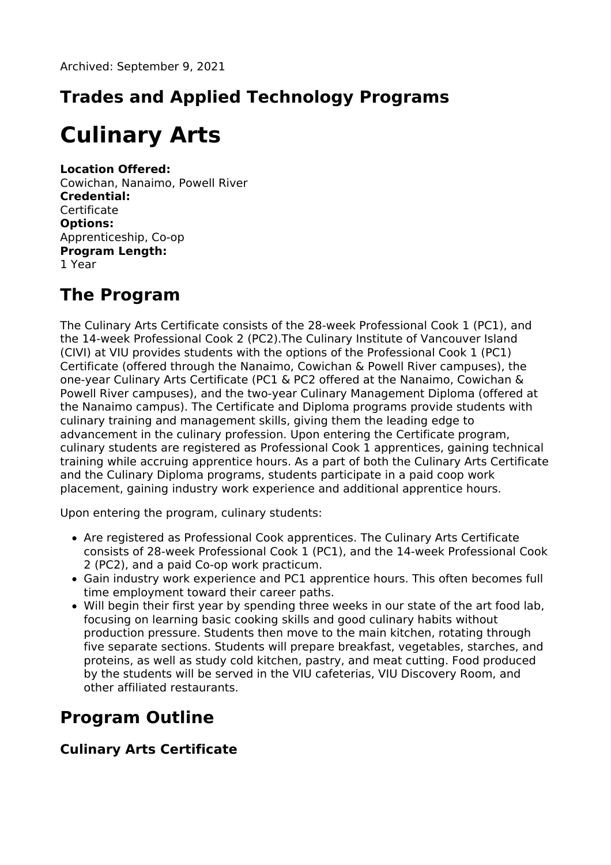# **Trades and Applied Technology Programs**

# **Culinary Arts**

#### **Location Offered:**

Cowichan, Nanaimo, Powell River **Credential: Certificate Options:** Apprenticeship, Co-op **Program Length:** 1 Year

### **The Program**

The Culinary Arts Certificate consists of the 28-week Professional Cook 1 (PC1), and the 14-week Professional Cook 2 (PC2).The Culinary Institute of Vancouver Island (CIVI) at VIU provides students with the options of the Professional Cook 1 (PC1) Certificate (offered through the Nanaimo, Cowichan & Powell River campuses), the one-year Culinary Arts Certificate (PC1 & PC2 offered at the Nanaimo, Cowichan & Powell River campuses), and the two-year Culinary Management Diploma (offered at the Nanaimo campus). The Certificate and Diploma programs provide students with culinary training and management skills, giving them the leading edge to advancement in the culinary profession. Upon entering the Certificate program, culinary students are registered as Professional Cook 1 apprentices, gaining technical training while accruing apprentice hours. As a part of both the Culinary Arts Certificate and the Culinary Diploma programs, students participate in a paid coop work placement, gaining industry work experience and additional apprentice hours.

Upon entering the program, culinary students:

- Are registered as Professional Cook apprentices. The Culinary Arts Certificate consists of 28-week Professional Cook 1 (PC1), and the 14-week Professional Cook 2 (PC2), and a paid Co-op work practicum.
- Gain industry work experience and PC1 apprentice hours. This often becomes full time employment toward their career paths.
- Will begin their first year by spending three weeks in our state of the art food lab, focusing on learning basic cooking skills and good culinary habits without production pressure. Students then move to the main kitchen, rotating through five separate sections. Students will prepare breakfast, vegetables, starches, and proteins, as well as study cold kitchen, pastry, and meat cutting. Food produced by the students will be served in the VIU cafeterias, VIU Discovery Room, and other affiliated restaurants.

# **Program Outline**

#### **Culinary Arts Certificate**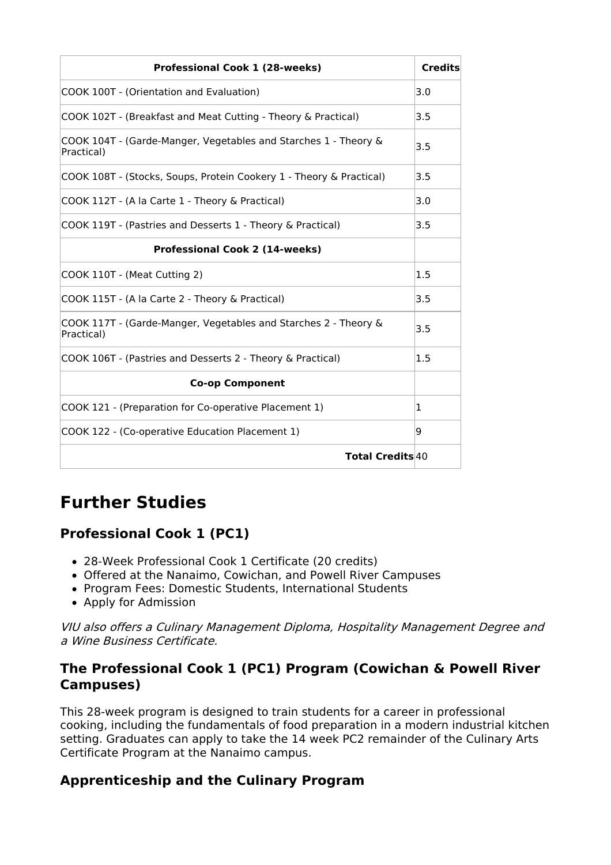| <b>Professional Cook 1 (28-weeks)</b>                                         | <b>Credits</b> |
|-------------------------------------------------------------------------------|----------------|
| COOK 100T - (Orientation and Evaluation)                                      | 3.0            |
| COOK 102T - (Breakfast and Meat Cutting - Theory & Practical)                 | 3.5            |
| COOK 104T - (Garde-Manger, Vegetables and Starches 1 - Theory &<br>Practical) | 3.5            |
| COOK 108T - (Stocks, Soups, Protein Cookery 1 - Theory & Practical)           | 3.5            |
| COOK 112T - (A la Carte 1 - Theory & Practical)                               | 3.0            |
| COOK 119T - (Pastries and Desserts 1 - Theory & Practical)                    | 3.5            |
| <b>Professional Cook 2 (14-weeks)</b>                                         |                |
| COOK 110T - (Meat Cutting 2)                                                  | 1.5            |
| COOK 115T - (A la Carte 2 - Theory & Practical)                               | 3.5            |
| COOK 117T - (Garde-Manger, Vegetables and Starches 2 - Theory &<br>Practical) | 3.5            |
| COOK 106T - (Pastries and Desserts 2 - Theory & Practical)                    | 1.5            |
| <b>Co-op Component</b>                                                        |                |
| COOK 121 - (Preparation for Co-operative Placement 1)                         | 1              |
| COOK 122 - (Co-operative Education Placement 1)                               | 9              |
| <b>Total Credits 40</b>                                                       |                |

### **Further Studies**

#### **Professional Cook 1 (PC1)**

- 28-Week Professional Cook 1 Certificate (20 credits)
- Offered at the Nanaimo, Cowichan, and Powell River Campuses
- Program Fees: Domestic Students, International Students
- Apply for Admission

VIU also offers <sup>a</sup> Culinary Management Diploma, Hospitality Management Degree and a Wine Business Certificate.

#### **The Professional Cook 1 (PC1) Program (Cowichan & Powell River Campuses)**

This 28-week program is designed to train students for a career in professional cooking, including the fundamentals of food preparation in a modern industrial kitchen setting. Graduates can apply to take the 14 week PC2 remainder of the Culinary Arts Certificate Program at the Nanaimo campus.

#### **Apprenticeship and the Culinary Program**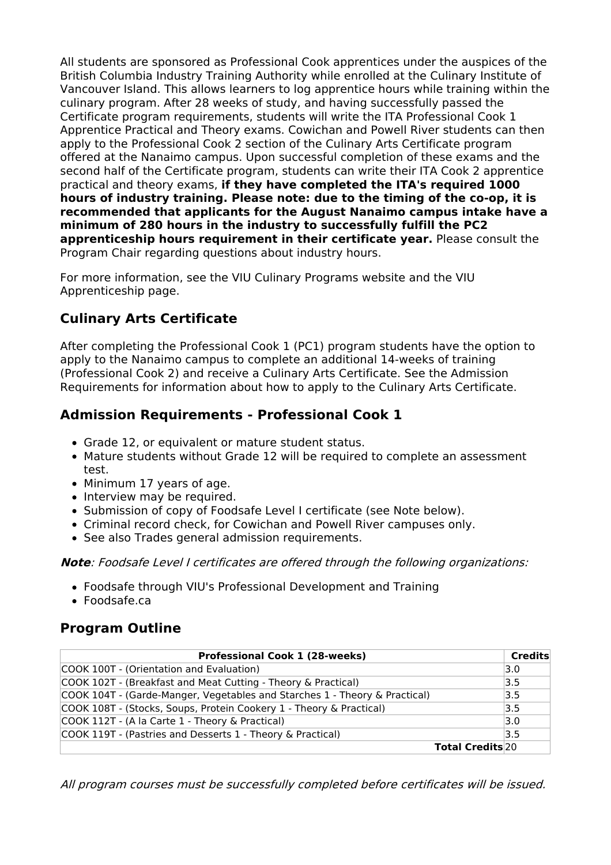All students are sponsored as Professional Cook apprentices under the auspices of the British Columbia Industry Training Authority while enrolled at the Culinary Institute of Vancouver Island. This allows learners to log apprentice hours while training within the culinary program. After 28 weeks of study, and having successfully passed the Certificate program requirements, students will write the ITA Professional Cook 1 Apprentice Practical and Theory exams. Cowichan and Powell River students can then apply to the Professional Cook 2 section of the Culinary Arts Certificate program offered at the Nanaimo campus. Upon successful completion of these exams and the second half of the Certificate program, students can write their ITA Cook 2 apprentice practical and theory exams, **if they have completed the ITA's required 1000 hours of industry training. Please note: due to the timing of the co-op, it is recommended that applicants for the August Nanaimo campus intake have a minimum of 280 hours in the industry to successfully fulfill the PC2 apprenticeship hours requirement in their certificate year.** Please consult the Program Chair regarding questions about industry hours.

For more information, see the VIU Culinary Programs website and the VIU Apprenticeship page.

#### **Culinary Arts Certificate**

After completing the Professional Cook 1 (PC1) program students have the option to apply to the Nanaimo campus to complete an additional 14-weeks of training (Professional Cook 2) and receive a Culinary Arts Certificate. See the Admission Requirements for information about how to apply to the Culinary Arts Certificate.

#### **Admission Requirements - Professional Cook 1**

- Grade 12, or equivalent or mature student status.
- Mature students without Grade 12 will be required to complete an assessment test.
- Minimum 17 years of age.
- Interview may be required.
- Submission of copy of Foodsafe Level I certificate (see Note below).
- Criminal record check, for Cowichan and Powell River campuses only.
- See also Trades general admission requirements.

**Note**: Foodsafe Level I certificates are offered through the following organizations:

- Foodsafe through VIU's Professional Development and Training
- Foodsafe.ca

#### **Program Outline**

| <b>Professional Cook 1 (28-weeks)</b>                                      | <b>Credits</b> |
|----------------------------------------------------------------------------|----------------|
| COOK 100T - (Orientation and Evaluation)                                   | 3.0            |
| COOK 102T - (Breakfast and Meat Cutting - Theory & Practical)              | 3.5            |
| COOK 104T - (Garde-Manger, Vegetables and Starches 1 - Theory & Practical) | 3.5            |
| COOK 108T - (Stocks, Soups, Protein Cookery 1 - Theory & Practical)        | 3.5            |
| COOK 112T - (A la Carte 1 - Theory & Practical)                            | 3.0            |
| COOK 119T - (Pastries and Desserts 1 - Theory & Practical)                 | 3.5            |
| <b>Total Credits</b> 20                                                    |                |

All program courses must be successfully completed before certificates will be issued.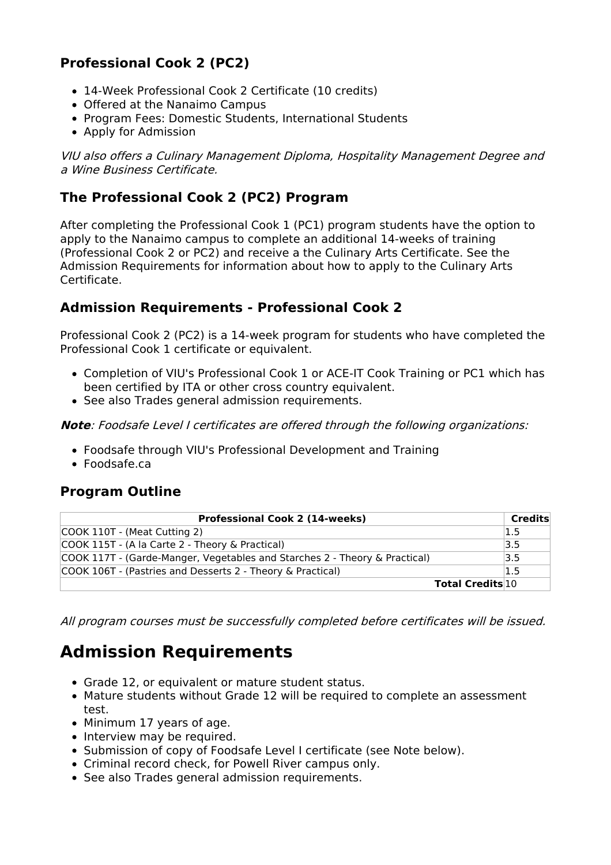#### **Professional Cook 2 (PC2)**

- 14-Week Professional Cook 2 Certificate (10 credits)
- Offered at the Nanaimo Campus
- Program Fees: Domestic Students, International Students
- Apply for Admission

VIU also offers <sup>a</sup> Culinary Management Diploma, Hospitality Management Degree and a Wine Business Certificate.

#### **The Professional Cook 2 (PC2) Program**

After completing the Professional Cook 1 (PC1) program students have the option to apply to the Nanaimo campus to complete an additional 14-weeks of training (Professional Cook 2 or PC2) and receive a the Culinary Arts Certificate. See the Admission Requirements for information about how to apply to the Culinary Arts Certificate.

#### **Admission Requirements - Professional Cook 2**

Professional Cook 2 (PC2) is a 14-week program for students who have completed the Professional Cook 1 certificate or equivalent.

- Completion of VIU's Professional Cook 1 or ACE-IT Cook Training or PC1 which has been certified by ITA or other cross country equivalent.
- See also Trades general admission requirements.

**Note**: Foodsafe Level I certificates are offered through the following organizations:

- Foodsafe through VIU's Professional Development and Training
- Foodsafe.ca

#### **Program Outline**

| <b>Professional Cook 2 (14-weeks)</b>                                      | Credits |
|----------------------------------------------------------------------------|---------|
| COOK 110T - (Meat Cutting 2)                                               | 1.5     |
| COOK 115T - (A la Carte 2 - Theory & Practical)                            | 3.5     |
| COOK 117T - (Garde-Manger, Vegetables and Starches 2 - Theory & Practical) | 3.5     |
| COOK 106T - (Pastries and Desserts 2 - Theory & Practical)                 | 1.5     |
| <b>Total Credits 10</b>                                                    |         |

All program courses must be successfully completed before certificates will be issued.

### **Admission Requirements**

- Grade 12, or equivalent or mature student status.
- Mature students without Grade 12 will be required to complete an assessment test.
- Minimum 17 years of age.
- Interview may be required.
- Submission of copy of Foodsafe Level I certificate (see Note below).
- Criminal record check, for Powell River campus only.
- See also Trades general admission requirements.